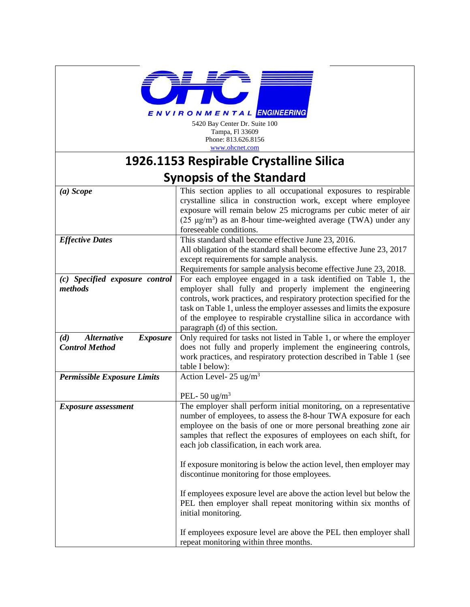

5420 Bay Center Dr. Suite 100 Tampa, Fl 33609 Phone: 813.626.8156 [www.ohcnet.com](http://www.ohcnet.com/)

## **1926.1153 Respirable Crystalline Silica Synopsis of the Standard**

| $(a) \;Scope$                                | This section applies to all occupational exposures to respirable<br>crystalline silica in construction work, except where employee<br>exposure will remain below 25 micrograms per cubic meter of air<br>(25 $\mu$ g/m <sup>3</sup> ) as an 8-hour time-weighted average (TWA) under any<br>foreseeable conditions.            |  |  |  |
|----------------------------------------------|--------------------------------------------------------------------------------------------------------------------------------------------------------------------------------------------------------------------------------------------------------------------------------------------------------------------------------|--|--|--|
| <b>Effective Dates</b>                       | This standard shall become effective June 23, 2016.                                                                                                                                                                                                                                                                            |  |  |  |
|                                              | All obligation of the standard shall become effective June 23, 2017<br>except requirements for sample analysis.<br>Requirements for sample analysis become effective June 23, 2018.                                                                                                                                            |  |  |  |
| (c) Specified exposure control               | For each employee engaged in a task identified on Table 1, the                                                                                                                                                                                                                                                                 |  |  |  |
| methods                                      | employer shall fully and properly implement the engineering<br>controls, work practices, and respiratory protection specified for the<br>task on Table 1, unless the employer assesses and limits the exposure<br>of the employee to respirable crystalline silica in accordance with<br>paragraph (d) of this section.        |  |  |  |
| (d)<br><b>Alternative</b><br><b>Exposure</b> | Only required for tasks not listed in Table 1, or where the employer                                                                                                                                                                                                                                                           |  |  |  |
| <b>Control Method</b>                        | does not fully and properly implement the engineering controls,                                                                                                                                                                                                                                                                |  |  |  |
|                                              | work practices, and respiratory protection described in Table 1 (see                                                                                                                                                                                                                                                           |  |  |  |
|                                              | table I below):                                                                                                                                                                                                                                                                                                                |  |  |  |
| <b>Permissible Exposure Limits</b>           | Action Level- $25 \text{ ug/m}^3$                                                                                                                                                                                                                                                                                              |  |  |  |
|                                              |                                                                                                                                                                                                                                                                                                                                |  |  |  |
|                                              | PEL-50 $\text{ug/m}^3$                                                                                                                                                                                                                                                                                                         |  |  |  |
| <b>Exposure</b> assessment                   | The employer shall perform initial monitoring, on a representative<br>number of employees, to assess the 8-hour TWA exposure for each<br>employee on the basis of one or more personal breathing zone air<br>samples that reflect the exposures of employees on each shift, for<br>each job classification, in each work area. |  |  |  |
|                                              | If exposure monitoring is below the action level, then employer may<br>discontinue monitoring for those employees.                                                                                                                                                                                                             |  |  |  |
|                                              | If employees exposure level are above the action level but below the<br>PEL then employer shall repeat monitoring within six months of<br>initial monitoring.                                                                                                                                                                  |  |  |  |
|                                              | If employees exposure level are above the PEL then employer shall<br>repeat monitoring within three months.                                                                                                                                                                                                                    |  |  |  |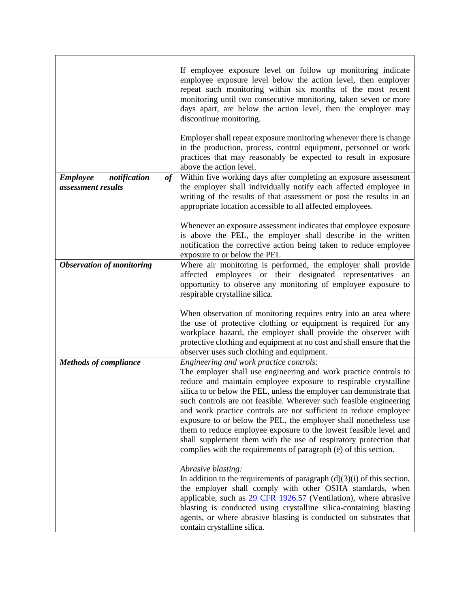|                                                             | If employee exposure level on follow up monitoring indicate<br>employee exposure level below the action level, then employer<br>repeat such monitoring within six months of the most recent<br>monitoring until two consecutive monitoring, taken seven or more<br>days apart, are below the action level, then the employer may<br>discontinue monitoring.                                                                                                                                                                                                                                                                                                                        |
|-------------------------------------------------------------|------------------------------------------------------------------------------------------------------------------------------------------------------------------------------------------------------------------------------------------------------------------------------------------------------------------------------------------------------------------------------------------------------------------------------------------------------------------------------------------------------------------------------------------------------------------------------------------------------------------------------------------------------------------------------------|
|                                                             | Employer shall repeat exposure monitoring whenever there is change<br>in the production, process, control equipment, personnel or work<br>practices that may reasonably be expected to result in exposure<br>above the action level.                                                                                                                                                                                                                                                                                                                                                                                                                                               |
| notification<br><b>Employee</b><br>of<br>assessment results | Within five working days after completing an exposure assessment<br>the employer shall individually notify each affected employee in<br>writing of the results of that assessment or post the results in an<br>appropriate location accessible to all affected employees.                                                                                                                                                                                                                                                                                                                                                                                                          |
|                                                             | Whenever an exposure assessment indicates that employee exposure<br>is above the PEL, the employer shall describe in the written<br>notification the corrective action being taken to reduce employee<br>exposure to or below the PEL                                                                                                                                                                                                                                                                                                                                                                                                                                              |
| <b>Observation of monitoring</b>                            | Where air monitoring is performed, the employer shall provide<br>affected employees or their designated representatives<br>an<br>opportunity to observe any monitoring of employee exposure to<br>respirable crystalline silica.                                                                                                                                                                                                                                                                                                                                                                                                                                                   |
|                                                             | When observation of monitoring requires entry into an area where<br>the use of protective clothing or equipment is required for any<br>workplace hazard, the employer shall provide the observer with<br>protective clothing and equipment at no cost and shall ensure that the<br>observer uses such clothing and equipment.                                                                                                                                                                                                                                                                                                                                                      |
| <b>Methods of compliance</b>                                | Engineering and work practice controls:<br>The employer shall use engineering and work practice controls to<br>reduce and maintain employee exposure to respirable crystalline<br>silica to or below the PEL, unless the employer can demonstrate that<br>such controls are not feasible. Wherever such feasible engineering<br>and work practice controls are not sufficient to reduce employee<br>exposure to or below the PEL, the employer shall nonetheless use<br>them to reduce employee exposure to the lowest feasible level and<br>shall supplement them with the use of respiratory protection that<br>complies with the requirements of paragraph (e) of this section. |
|                                                             | Abrasive blasting:<br>In addition to the requirements of paragraph $(d)(3)(i)$ of this section,<br>the employer shall comply with other OSHA standards, when<br>applicable, such as $29$ CFR 1926.57 (Ventilation), where abrasive<br>blasting is conducted using crystalline silica-containing blasting<br>agents, or where abrasive blasting is conducted on substrates that<br>contain crystalline silica.                                                                                                                                                                                                                                                                      |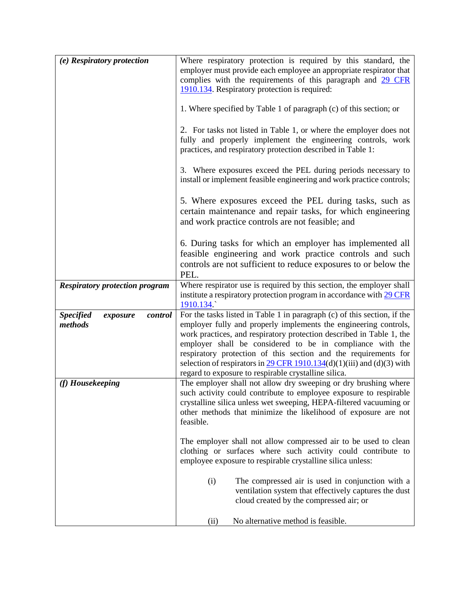| (e) Respiratory protection                         | Where respiratory protection is required by this standard, the                                                                                                                                                                                                                                                                                                                                                                                                                                               |  |  |  |
|----------------------------------------------------|--------------------------------------------------------------------------------------------------------------------------------------------------------------------------------------------------------------------------------------------------------------------------------------------------------------------------------------------------------------------------------------------------------------------------------------------------------------------------------------------------------------|--|--|--|
|                                                    | employer must provide each employee an appropriate respirator that                                                                                                                                                                                                                                                                                                                                                                                                                                           |  |  |  |
|                                                    | complies with the requirements of this paragraph and 29 CFR                                                                                                                                                                                                                                                                                                                                                                                                                                                  |  |  |  |
|                                                    | 1910.134. Respiratory protection is required:                                                                                                                                                                                                                                                                                                                                                                                                                                                                |  |  |  |
|                                                    | 1. Where specified by Table 1 of paragraph (c) of this section; or                                                                                                                                                                                                                                                                                                                                                                                                                                           |  |  |  |
|                                                    | 2. For tasks not listed in Table 1, or where the employer does not<br>fully and properly implement the engineering controls, work<br>practices, and respiratory protection described in Table 1:                                                                                                                                                                                                                                                                                                             |  |  |  |
|                                                    | 3. Where exposures exceed the PEL during periods necessary to<br>install or implement feasible engineering and work practice controls;                                                                                                                                                                                                                                                                                                                                                                       |  |  |  |
|                                                    | 5. Where exposures exceed the PEL during tasks, such as<br>certain maintenance and repair tasks, for which engineering<br>and work practice controls are not feasible; and                                                                                                                                                                                                                                                                                                                                   |  |  |  |
|                                                    | 6. During tasks for which an employer has implemented all<br>feasible engineering and work practice controls and such<br>controls are not sufficient to reduce exposures to or below the<br>PEL.                                                                                                                                                                                                                                                                                                             |  |  |  |
| <b>Respiratory protection program</b>              | Where respirator use is required by this section, the employer shall<br>institute a respiratory protection program in accordance with 29 CFR<br>1910.134                                                                                                                                                                                                                                                                                                                                                     |  |  |  |
| <b>Specified</b><br>control<br>exposure<br>methods | For the tasks listed in Table 1 in paragraph (c) of this section, if the<br>employer fully and properly implements the engineering controls,<br>work practices, and respiratory protection described in Table 1, the<br>employer shall be considered to be in compliance with the<br>respiratory protection of this section and the requirements for<br>selection of respirators in $\frac{29 \text{ CFR } 1910.134}{(d)(1)(iii)}$ and $(d)(3)$ with<br>regard to exposure to respirable crystalline silica. |  |  |  |
| (f) Housekeeping                                   | The employer shall not allow dry sweeping or dry brushing where<br>such activity could contribute to employee exposure to respirable<br>crystalline silica unless wet sweeping, HEPA-filtered vacuuming or<br>other methods that minimize the likelihood of exposure are not<br>feasible.                                                                                                                                                                                                                    |  |  |  |
|                                                    | The employer shall not allow compressed air to be used to clean<br>clothing or surfaces where such activity could contribute to<br>employee exposure to respirable crystalline silica unless:                                                                                                                                                                                                                                                                                                                |  |  |  |
|                                                    | (i)<br>The compressed air is used in conjunction with a<br>ventilation system that effectively captures the dust<br>cloud created by the compressed air; or                                                                                                                                                                                                                                                                                                                                                  |  |  |  |
|                                                    | No alternative method is feasible.<br>(ii)                                                                                                                                                                                                                                                                                                                                                                                                                                                                   |  |  |  |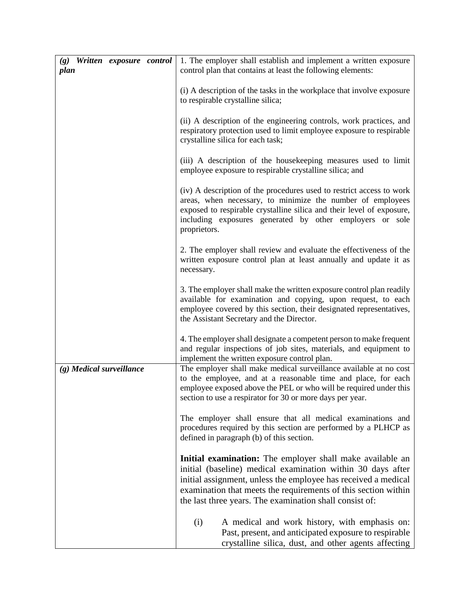| (g) Written exposure control<br>plan | 1. The employer shall establish and implement a written exposure<br>control plan that contains at least the following elements:                                                                                                                                                                                         |
|--------------------------------------|-------------------------------------------------------------------------------------------------------------------------------------------------------------------------------------------------------------------------------------------------------------------------------------------------------------------------|
|                                      | (i) A description of the tasks in the workplace that involve exposure<br>to respirable crystalline silica;                                                                                                                                                                                                              |
|                                      | (ii) A description of the engineering controls, work practices, and<br>respiratory protection used to limit employee exposure to respirable<br>crystalline silica for each task;                                                                                                                                        |
|                                      | (iii) A description of the housekeeping measures used to limit<br>employee exposure to respirable crystalline silica; and                                                                                                                                                                                               |
|                                      | (iv) A description of the procedures used to restrict access to work<br>areas, when necessary, to minimize the number of employees<br>exposed to respirable crystalline silica and their level of exposure,<br>including exposures generated by other employers or sole<br>proprietors.                                 |
|                                      | 2. The employer shall review and evaluate the effectiveness of the<br>written exposure control plan at least annually and update it as<br>necessary.                                                                                                                                                                    |
|                                      | 3. The employer shall make the written exposure control plan readily<br>available for examination and copying, upon request, to each<br>employee covered by this section, their designated representatives,<br>the Assistant Secretary and the Director.                                                                |
|                                      | 4. The employer shall designate a competent person to make frequent<br>and regular inspections of job sites, materials, and equipment to<br>implement the written exposure control plan.                                                                                                                                |
| $(g)$ Medical surveillance           | The employer shall make medical surveillance available at no cost<br>to the employee, and at a reasonable time and place, for each<br>employee exposed above the PEL or who will be required under this<br>section to use a respirator for 30 or more days per year.                                                    |
|                                      | The employer shall ensure that all medical examinations and<br>procedures required by this section are performed by a PLHCP as<br>defined in paragraph (b) of this section.                                                                                                                                             |
|                                      | Initial examination: The employer shall make available an<br>initial (baseline) medical examination within 30 days after<br>initial assignment, unless the employee has received a medical<br>examination that meets the requirements of this section within<br>the last three years. The examination shall consist of: |
|                                      | (i)<br>A medical and work history, with emphasis on:<br>Past, present, and anticipated exposure to respirable<br>crystalline silica, dust, and other agents affecting                                                                                                                                                   |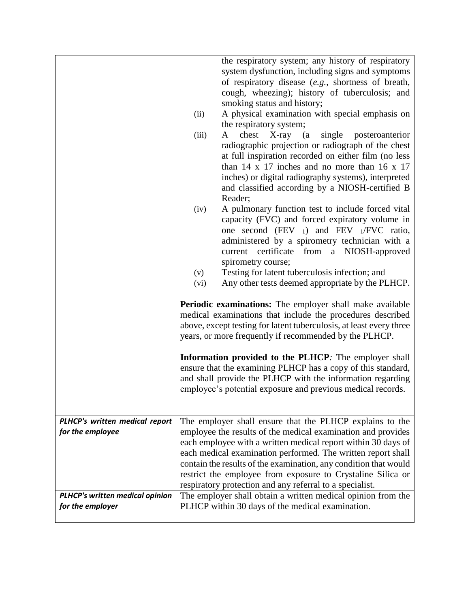|                                                            | the respiratory system; any history of respiratory                                                                                                                                                                                                                                                                                                                                                                                                                                                                                                                                                                                   |  |  |
|------------------------------------------------------------|--------------------------------------------------------------------------------------------------------------------------------------------------------------------------------------------------------------------------------------------------------------------------------------------------------------------------------------------------------------------------------------------------------------------------------------------------------------------------------------------------------------------------------------------------------------------------------------------------------------------------------------|--|--|
|                                                            | system dysfunction, including signs and symptoms<br>of respiratory disease (e.g., shortness of breath,<br>cough, wheezing); history of tuberculosis; and<br>smoking status and history;<br>A physical examination with special emphasis on<br>(ii)<br>the respiratory system;<br>chest<br>X-ray (a<br>single<br>posteroanterior<br>(iii)<br>A<br>radiographic projection or radiograph of the chest<br>at full inspiration recorded on either film (no less<br>than $14 \times 17$ inches and no more than $16 \times 17$<br>inches) or digital radiography systems), interpreted<br>and classified according by a NIOSH-certified B |  |  |
|                                                            | Reader;<br>A pulmonary function test to include forced vital<br>(iv)<br>capacity (FVC) and forced expiratory volume in<br>one second (FEV $_1$ ) and FEV $_1$ /FVC ratio,<br>administered by a spirometry technician with a<br>certificate<br>from a NIOSH-approved<br>current<br>spirometry course;<br>Testing for latent tuberculosis infection; and<br>(v)<br>Any other tests deemed appropriate by the PLHCP.<br>(vi)                                                                                                                                                                                                            |  |  |
|                                                            |                                                                                                                                                                                                                                                                                                                                                                                                                                                                                                                                                                                                                                      |  |  |
|                                                            | Periodic examinations: The employer shall make available<br>medical examinations that include the procedures described<br>above, except testing for latent tuberculosis, at least every three<br>years, or more frequently if recommended by the PLHCP.<br>Information provided to the PLHCP: The employer shall<br>ensure that the examining PLHCP has a copy of this standard,<br>and shall provide the PLHCP with the information regarding<br>employee's potential exposure and previous medical records.                                                                                                                        |  |  |
|                                                            |                                                                                                                                                                                                                                                                                                                                                                                                                                                                                                                                                                                                                                      |  |  |
| PLHCP's written medical report<br>for the employee         | The employer shall ensure that the PLHCP explains to the<br>employee the results of the medical examination and provides<br>each employee with a written medical report within 30 days of<br>each medical examination performed. The written report shall<br>contain the results of the examination, any condition that would<br>restrict the employee from exposure to Crystaline Silica or<br>respiratory protection and any referral to a specialist.                                                                                                                                                                             |  |  |
| <b>PLHCP's written medical opinion</b><br>for the employer | The employer shall obtain a written medical opinion from the<br>PLHCP within 30 days of the medical examination.                                                                                                                                                                                                                                                                                                                                                                                                                                                                                                                     |  |  |
|                                                            |                                                                                                                                                                                                                                                                                                                                                                                                                                                                                                                                                                                                                                      |  |  |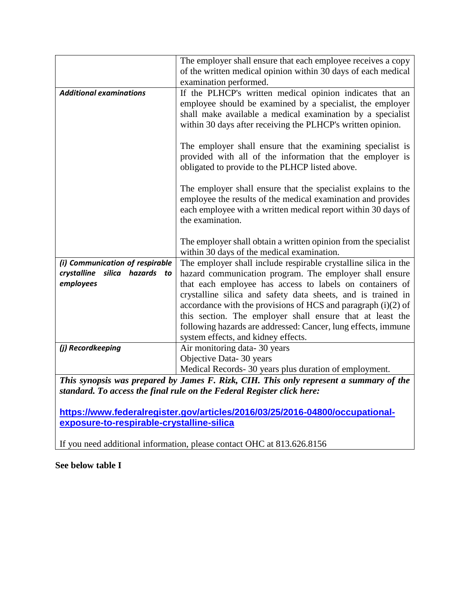|                                  | The employer shall ensure that each employee receives a copy<br>of the written medical opinion within 30 days of each medical |  |  |  |
|----------------------------------|-------------------------------------------------------------------------------------------------------------------------------|--|--|--|
|                                  | examination performed.                                                                                                        |  |  |  |
|                                  |                                                                                                                               |  |  |  |
| <b>Additional examinations</b>   | If the PLHCP's written medical opinion indicates that an                                                                      |  |  |  |
|                                  | employee should be examined by a specialist, the employer                                                                     |  |  |  |
|                                  | shall make available a medical examination by a specialist                                                                    |  |  |  |
|                                  | within 30 days after receiving the PLHCP's written opinion.                                                                   |  |  |  |
|                                  | The employer shall ensure that the examining specialist is                                                                    |  |  |  |
|                                  | provided with all of the information that the employer is                                                                     |  |  |  |
|                                  | obligated to provide to the PLHCP listed above.                                                                               |  |  |  |
|                                  |                                                                                                                               |  |  |  |
|                                  | The employer shall ensure that the specialist explains to the                                                                 |  |  |  |
|                                  | employee the results of the medical examination and provides                                                                  |  |  |  |
|                                  | each employee with a written medical report within 30 days of                                                                 |  |  |  |
|                                  | the examination.                                                                                                              |  |  |  |
|                                  |                                                                                                                               |  |  |  |
|                                  | The employer shall obtain a written opinion from the specialist                                                               |  |  |  |
|                                  | within 30 days of the medical examination.                                                                                    |  |  |  |
| (i) Communication of respirable  | The employer shall include respirable crystalline silica in the                                                               |  |  |  |
| crystalline silica hazards<br>to | hazard communication program. The employer shall ensure                                                                       |  |  |  |
| employees                        | that each employee has access to labels on containers of                                                                      |  |  |  |
|                                  | crystalline silica and safety data sheets, and is trained in                                                                  |  |  |  |
|                                  | accordance with the provisions of HCS and paragraph $(i)(2)$ of                                                               |  |  |  |
|                                  | this section. The employer shall ensure that at least the                                                                     |  |  |  |
|                                  | following hazards are addressed: Cancer, lung effects, immune                                                                 |  |  |  |
|                                  | system effects, and kidney effects.                                                                                           |  |  |  |
| (j) Recordkeeping                | Air monitoring data-30 years                                                                                                  |  |  |  |
|                                  | Objective Data- 30 years                                                                                                      |  |  |  |
|                                  | Medical Records- 30 years plus duration of employment.                                                                        |  |  |  |

*This synopsis was prepared by James F. Rizk, CIH. This only represent a summary of the standard. To access the final rule on the Federal Register click here:*

**[https://www.federalregister.gov/articles/2016/03/25/2016-04800/occupational](https://www.federalregister.gov/articles/2016/03/25/2016-04800/occupational-exposure-to-respirable-crystalline-silica)[exposure-to-respirable-crystalline-silica](https://www.federalregister.gov/articles/2016/03/25/2016-04800/occupational-exposure-to-respirable-crystalline-silica)**

If you need additional information, please contact OHC at 813.626.8156

**See below table I**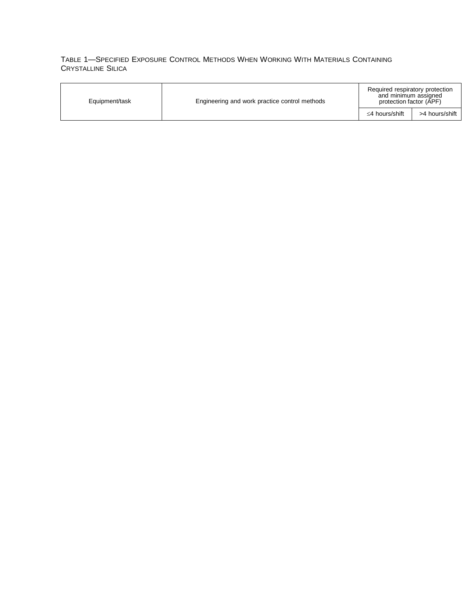## TABLE 1—SPECIFIED EXPOSURE CONTROL METHODS WHEN WORKING WITH MATERIALS CONTAINING CRYSTALLINE SILICA

| Equipment/task | Engineering and work practice control methods | Required respiratory protection<br>and minimum assigned<br>protection factor (APF) |                |
|----------------|-----------------------------------------------|------------------------------------------------------------------------------------|----------------|
|                |                                               | ≤4 hours/shift                                                                     | >4 hours/shift |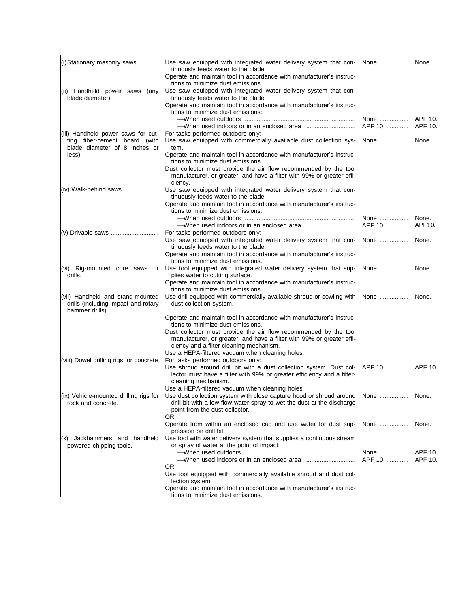| (i) Stationary masonry saws                                                                          | Use saw equipped with integrated water delivery system that con-<br>tinuously feeds water to the blade.<br>Operate and maintain tool in accordance with manufacturer's instruc-                                                                           | None              | None.              |
|------------------------------------------------------------------------------------------------------|-----------------------------------------------------------------------------------------------------------------------------------------------------------------------------------------------------------------------------------------------------------|-------------------|--------------------|
| (ii) Handheld power saws (any<br>blade diameter).                                                    | tions to minimize dust emissions.<br>Use saw equipped with integrated water delivery system that con-<br>tinuously feeds water to the blade.<br>Operate and maintain tool in accordance with manufacturer's instruc-<br>tions to minimize dust emissions: |                   |                    |
|                                                                                                      |                                                                                                                                                                                                                                                           | None<br>APF 10    | APF 10.<br>APF 10. |
| (iii) Handheld power saws for cut-<br>ting fiber-cement board (with<br>blade diameter of 8 inches or | For tasks performed outdoors only:<br>Use saw equipped with commercially available dust collection sys-<br>tem.                                                                                                                                           | None.             | None.              |
| less).                                                                                               | Operate and maintain tool in accordance with manufacturer's instruc-<br>tions to minimize dust emissions.<br>Dust collector must provide the air flow recommended by the tool                                                                             |                   |                    |
|                                                                                                      | manufacturer, or greater, and have a filter with 99% or greater effi-<br>ciency.                                                                                                                                                                          |                   |                    |
| $(iv)$ Walk-behind saws                                                                              | Use saw equipped with integrated water delivery system that con-<br>tinuously feeds water to the blade.<br>Operate and maintain tool in accordance with manufacturer's instruc-                                                                           |                   |                    |
|                                                                                                      | tions to minimize dust emissions:                                                                                                                                                                                                                         | None              | None.              |
|                                                                                                      | For tasks performed outdoors only:                                                                                                                                                                                                                        | APF 10            | APF10.             |
|                                                                                                      | Use saw equipped with integrated water delivery system that con-<br>tinuously feeds water to the blade.<br>Operate and maintain tool in accordance with manufacturer's instruc-                                                                           | None              | None.              |
| (vi) Rig-mounted core saws or<br>drills.                                                             | tions to minimize dust emissions.<br>Use tool equipped with integrated water delivery system that sup-<br>plies water to cutting surface.                                                                                                                 | None              | None.              |
|                                                                                                      | Operate and maintain tool in accordance with manufacturer's instruc-<br>tions to minimize dust emissions.                                                                                                                                                 |                   |                    |
| (vii) Handheld and stand-mounted<br>drills (including impact and rotary<br>hammer drills).           | Use drill equipped with commercially available shroud or cowling with<br>dust collection system.                                                                                                                                                          | None              | None.              |
|                                                                                                      | Operate and maintain tool in accordance with manufacturer's instruc-<br>tions to minimize dust emissions.                                                                                                                                                 |                   |                    |
|                                                                                                      | Dust collector must provide the air flow recommended by the tool<br>manufacturer, or greater, and have a filter with 99% or greater effi-<br>ciency and a filter-cleaning mechanism.                                                                      |                   |                    |
| (viii) Dowel drilling rigs for concrete                                                              | Use a HEPA-filtered vacuum when cleaning holes.<br>For tasks performed outdoors only:<br>Use shroud around drill bit with a dust collection system. Dust col-                                                                                             | APF 10    APF 10. |                    |
|                                                                                                      | lector must have a filter with 99% or greater efficiency and a filter-<br>cleaning mechanism.                                                                                                                                                             |                   |                    |
| $(x)$ Vehicle-mounted drilling rigs for<br>rock and concrete.                                        | Use a HEPA-filtered vacuum when cleaning holes.<br>Use dust collection system with close capture hood or shroud around   None    None.<br>drill bit with a low-flow water spray to wet the dust at the discharge<br>point from the dust collector.<br>0R  |                   |                    |
|                                                                                                      | Operate from within an enclosed cab and use water for dust sup-<br>pression on drill bit.                                                                                                                                                                 | None              | None.              |
| Jackhammers and handheld<br>(x)<br>powered chipping tools.                                           | Use tool with water delivery system that supplies a continuous stream<br>or spray of water at the point of impact:                                                                                                                                        | None              | APF 10.            |
|                                                                                                      |                                                                                                                                                                                                                                                           | APF 10            | APF 10.            |
|                                                                                                      | 0R<br>Use tool equipped with commercially available shroud and dust col-<br>lection system.                                                                                                                                                               |                   |                    |
|                                                                                                      | Operate and maintain tool in accordance with manufacturer's instruc-<br>tions to minimize dust emissions.                                                                                                                                                 |                   |                    |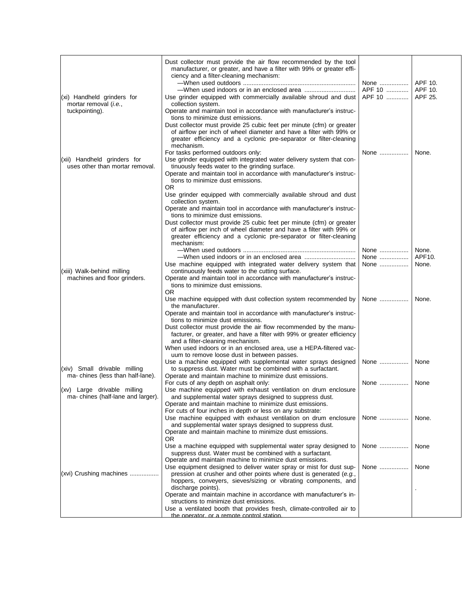|                                                                       | Dust collector must provide the air flow recommended by the tool<br>manufacturer, or greater, and have a filter with 99% or greater effi-<br>ciency and a filter-cleaning mechanism:                                                                                      | APF 10    APF 10. |                 |
|-----------------------------------------------------------------------|---------------------------------------------------------------------------------------------------------------------------------------------------------------------------------------------------------------------------------------------------------------------------|-------------------|-----------------|
| (xi) Handheld grinders for<br>mortar removal (i.e.,<br>tuckpointing). | Use grinder equipped with commercially available shroud and dust<br>collection system.<br>Operate and maintain tool in accordance with manufacturer's instruc-                                                                                                            | APF 10    APF 25. |                 |
|                                                                       | tions to minimize dust emissions.<br>Dust collector must provide 25 cubic feet per minute (cfm) or greater<br>of airflow per inch of wheel diameter and have a filter with 99% or<br>greater efficiency and a cyclonic pre-separator or filter-cleaning<br>mechanism.     |                   |                 |
| (xii) Handheld grinders for<br>uses other than mortar removal.        | For tasks performed outdoors only:<br>Use grinder equipped with integrated water delivery system that con-<br>tinuously feeds water to the grinding surface.<br>Operate and maintain tool in accordance with manufacturer's instruc-<br>tions to minimize dust emissions. | None              | None.           |
|                                                                       | OR.<br>Use grinder equipped with commercially available shroud and dust<br>collection system.<br>Operate and maintain tool in accordance with manufacturer's instruc-<br>tions to minimize dust emissions.                                                                |                   |                 |
|                                                                       | Dust collector must provide 25 cubic feet per minute (cfm) or greater<br>of airflow per inch of wheel diameter and have a filter with 99% or<br>greater efficiency and a cyclonic pre-separator or filter-cleaning<br>mechanism:                                          |                   |                 |
|                                                                       |                                                                                                                                                                                                                                                                           | None              | None.<br>APF10. |
|                                                                       | Use machine equipped with integrated water delivery system that                                                                                                                                                                                                           | None<br>None      | None.           |
| (xiii) Walk-behind milling<br>machines and floor grinders.            | continuously feeds water to the cutting surface.<br>Operate and maintain tool in accordance with manufacturer's instruc-<br>tions to minimize dust emissions.<br>OR.                                                                                                      |                   |                 |
|                                                                       | Use machine equipped with dust collection system recommended by<br>the manufacturer.<br>Operate and maintain tool in accordance with manufacturer's instruc-                                                                                                              | None              | None.           |
|                                                                       | tions to minimize dust emissions.<br>Dust collector must provide the air flow recommended by the manu-<br>facturer, or greater, and have a filter with 99% or greater efficiency<br>and a filter-cleaning mechanism.                                                      |                   |                 |
|                                                                       | When used indoors or in an enclosed area, use a HEPA-filtered vac-<br>uum to remove loose dust in between passes.                                                                                                                                                         |                   |                 |
| (xiv) Small drivable milling<br>ma-chines (less than half-lane).      | Use a machine equipped with supplemental water sprays designed<br>to suppress dust. Water must be combined with a surfactant.<br>Operate and maintain machine to minimize dust emissions.                                                                                 | None              | None            |
| (xv) Large drivable milling<br>ma-chines (half-lane and larger).      | For cuts of any depth on asphalt only:<br>Use machine equipped with exhaust ventilation on drum enclosure<br>and supplemental water sprays designed to suppress dust.                                                                                                     | None              | None            |
|                                                                       | Operate and maintain machine to minimize dust emissions.<br>For cuts of four inches in depth or less on any substrate:                                                                                                                                                    |                   |                 |
|                                                                       | Use machine equipped with exhaust ventilation on drum enclosure<br>and supplemental water sprays designed to suppress dust.<br>Operate and maintain machine to minimize dust emissions.<br>OR.                                                                            | None              | None.           |
|                                                                       | Use a machine equipped with supplemental water spray designed to<br>suppress dust. Water must be combined with a surfactant.<br>Operate and maintain machine to minimize dust emissions.                                                                                  | None              | None            |
| (xvi) Crushing machines                                               | Use equipment designed to deliver water spray or mist for dust sup-<br>pression at crusher and other points where dust is generated (e.g.,<br>hoppers, conveyers, sieves/sizing or vibrating components, and<br>discharge points).                                        | None              | None            |
|                                                                       | Operate and maintain machine in accordance with manufacturer's in-<br>structions to minimize dust emissions.<br>Use a ventilated booth that provides fresh, climate-controlled air to                                                                                     |                   |                 |
|                                                                       | the operator, or a remote control station.                                                                                                                                                                                                                                |                   |                 |